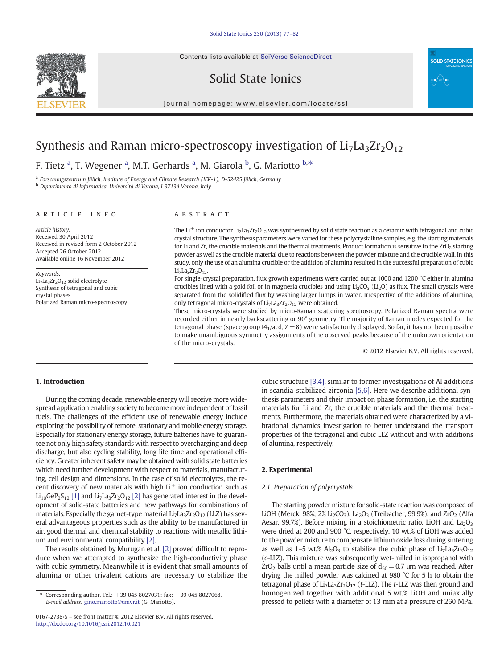Contents lists available at SciVerse ScienceDirect



Solid State Ionics



journal homepage: www.elsevier.com/locate/ssi

# Synthesis and Raman micro-spectroscopy investigation of  $Li<sub>7</sub>La<sub>3</sub>Zr<sub>2</sub>O<sub>12</sub>$

F. Tietz <sup>a</sup>, T. Wegener <sup>a</sup>, M.T. Gerhards <sup>a</sup>, M. Giarola <sup>b</sup>, G. Mariotto <sup>b,\*</sup>

a Forschungszentrum Jülich, Institute of Energy and Climate Research (IEK-1), D-52425 Jülich, Germany

<sup>b</sup> Dipartimento di Informatica, Università di Verona, I-37134 Verona, Italy

#### article info abstract

Article history: Received 30 April 2012 Received in revised form 2 October 2012 Accepted 26 October 2012 Available online 16 November 2012

Keywords: Li<sub>7</sub>La<sub>3</sub>Zr<sub>2</sub>O<sub>12</sub> solid electrolyte Synthesis of tetragonal and cubic crystal phases Polarized Raman micro-spectroscopy

The Li<sup>+</sup> ion conductor Li<sub>7</sub>La<sub>3</sub>Zr<sub>2</sub>O<sub>12</sub> was synthesized by solid state reaction as a ceramic with tetragonal and cubic crystal structure. The synthesis parameters were varied for these polycrystalline samples, e.g. the starting materials for Li and Zr, the crucible materials and the thermal treatments. Product formation is sensitive to the  $ZrO<sub>2</sub>$  starting powder as well as the crucible material due to reactions between the powder mixture and the crucible wall. In this study, only the use of an alumina crucible or the addition of alumina resulted in the successful preparation of cubic  $Li<sub>7</sub>La<sub>3</sub>Zr<sub>2</sub>O<sub>12</sub>$ .

For single-crystal preparation, flux growth experiments were carried out at 1000 and 1200 °C either in alumina crucibles lined with a gold foil or in magnesia crucibles and using  $Li_2CO_3$  ( $Li_2O$ ) as flux. The small crystals were separated from the solidified flux by washing larger lumps in water. Irrespective of the additions of alumina, only tetragonal micro-crystals of  $Li<sub>7</sub>La<sub>3</sub>Zr<sub>2</sub>O<sub>12</sub>$  were obtained.

These micro-crystals were studied by micro-Raman scattering spectroscopy. Polarized Raman spectra were recorded either in nearly backscattering or 90° geometry. The majority of Raman modes expected for the tetragonal phase (space group I4<sub>1</sub>/acd,  $Z=8$ ) were satisfactorily displayed. So far, it has not been possible to make unambiguous symmetry assignments of the observed peaks because of the unknown orientation of the micro-crystals.

© 2012 Elsevier B.V. All rights reserved.

#### 1. Introduction

During the coming decade, renewable energy will receive more widespread application enabling society to become more independent of fossil fuels. The challenges of the efficient use of renewable energy include exploring the possibility of remote, stationary and mobile energy storage. Especially for stationary energy storage, future batteries have to guarantee not only high safety standards with respect to overcharging and deep discharge, but also cycling stability, long life time and operational efficiency. Greater inherent safety may be obtained with solid state batteries which need further development with respect to materials, manufacturing, cell design and dimensions. In the case of solid electrolytes, the recent discovery of new materials with high  $Li^+$  ion conduction such as  $Li_{10}$ GeP<sub>2</sub>S<sub>12</sub> [\[1\]](#page-5-0) and Li<sub>7</sub>La<sub>3</sub>Zr<sub>2</sub>O<sub>12</sub> [\[2\]](#page-5-0) has generated interest in the development of solid-state batteries and new pathways for combinations of materials. Especially the garnet-type material  $Li<sub>7</sub>La<sub>3</sub>Zr<sub>2</sub>O<sub>12</sub>$  (LLZ) has several advantageous properties such as the ability to be manufactured in air, good thermal and chemical stability to reactions with metallic lithium and environmental compatibility [\[2\].](#page-5-0)

The results obtained by Murugan et al. [\[2\]](#page-5-0) proved difficult to reproduce when we attempted to synthesize the high-conductivity phase with cubic symmetry. Meanwhile it is evident that small amounts of alumina or other trivalent cations are necessary to stabilize the

cubic structure [\[3,4\]](#page-5-0), similar to former investigations of Al additions in scandia-stabilized zirconia [\[5,6\].](#page-5-0) Here we describe additional synthesis parameters and their impact on phase formation, i.e. the starting materials for Li and Zr, the crucible materials and the thermal treatments. Furthermore, the materials obtained were characterized by a vibrational dynamics investigation to better understand the transport properties of the tetragonal and cubic LLZ without and with additions of alumina, respectively.

### 2. Experimental

#### 2.1. Preparation of polycrystals

The starting powder mixture for solid-state reaction was composed of LiOH (Merck, 98%; 2% Li<sub>2</sub>CO<sub>3</sub>), La<sub>2</sub>O<sub>3</sub> (Treibacher, 99.9%), and ZrO<sub>2</sub> (Alfa Aesar, 99.7%). Before mixing in a stoichiometric ratio, LiOH and  $La_2O_3$ were dried at 200 and 900 °C, respectively. 10 wt.% of LiOH was added to the powder mixture to compensate lithium oxide loss during sintering as well as  $1-5$  wt.%  $Al_2O_3$  to stabilize the cubic phase of Li<sub>7</sub>La<sub>3</sub>Zr<sub>2</sub>O<sub>12</sub> (c-LLZ). This mixture was subsequently wet-milled in isopropanol with  $ZrO<sub>2</sub>$  balls until a mean particle size of  $d<sub>50</sub> = 0.7$  μm was reached. After drying the milled powder was calcined at 980 °C for 5 h to obtain the tetragonal phase of  $Li<sub>7</sub>La<sub>3</sub>Zr<sub>2</sub>O<sub>12</sub>$  (t-LLZ). The t-LLZ was then ground and homogenized together with additional 5 wt.% LiOH and uniaxially pressed to pellets with a diameter of 13 mm at a pressure of 260 MPa.

Corresponding author. Tel.:  $+390458027031$ ; fax:  $+390458027068$ . E-mail address: [gino.mariotto@univr.it](mailto:gino.mariotto@univr.it) (G. Mariotto).

<sup>0167-2738/\$</sup> – see front matter © 2012 Elsevier B.V. All rights reserved. <http://dx.doi.org/10.1016/j.ssi.2012.10.021>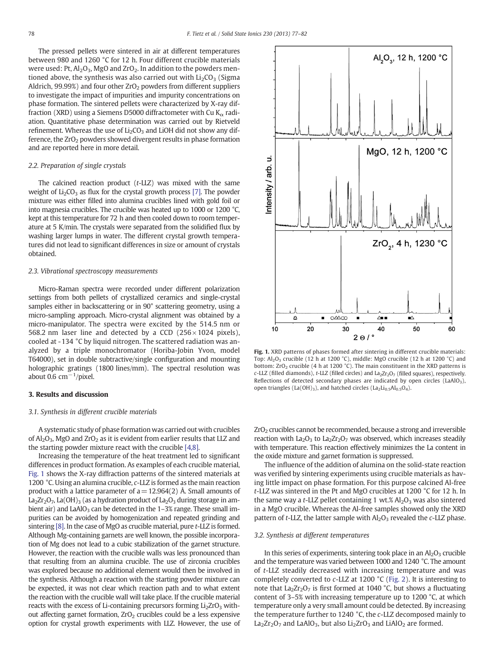<span id="page-1-0"></span>The pressed pellets were sintered in air at different temperatures between 980 and 1260 °C for 12 h. Four different crucible materials were used: Pt,  $Al_2O_3$ , MgO and ZrO<sub>2</sub>. In addition to the powders mentioned above, the synthesis was also carried out with  $Li_2CO_3$  (Sigma Aldrich, 99.99%) and four other  $ZrO<sub>2</sub>$  powders from different suppliers to investigate the impact of impurities and impurity concentrations on phase formation. The sintered pellets were characterized by X-ray diffraction (XRD) using a Siemens D5000 diffractometer with Cu  $K_{\alpha}$  radiation. Quantitative phase determination was carried out by Rietveld refinement. Whereas the use of  $Li<sub>2</sub>CO<sub>3</sub>$  and LiOH did not show any difference, the  $ZrO<sub>2</sub>$  powders showed divergent results in phase formation and are reported here in more detail.

# 2.2. Preparation of single crystals

The calcined reaction product (t-LLZ) was mixed with the same weight of  $Li<sub>2</sub>CO<sub>3</sub>$  as flux for the crystal growth process [\[7\].](#page-5-0) The powder mixture was either filled into alumina crucibles lined with gold foil or into magnesia crucibles. The crucible was heated up to 1000 or 1200 °C, kept at this temperature for 72 h and then cooled down to room temperature at 5 K/min. The crystals were separated from the solidified flux by washing larger lumps in water. The different crystal growth temperatures did not lead to significant differences in size or amount of crystals obtained.

#### 2.3. Vibrational spectroscopy measurements

Micro-Raman spectra were recorded under different polarization settings from both pellets of crystallized ceramics and single-crystal samples either in backscattering or in 90° scattering geometry, using a micro-sampling approach. Micro-crystal alignment was obtained by a micro-manipulator. The spectra were excited by the 514.5 nm or 568.2 nm laser line and detected by a CCD ( $256 \times 1024$  pixels), cooled at -134 °C by liquid nitrogen. The scattered radiation was analyzed by a triple monochromator (Horiba-Jobin Yvon, model T64000), set in double subtractive/single configuration and mounting holographic gratings (1800 lines/mm). The spectral resolution was about 0.6  $cm^{-1}/$ pixel.

#### 3. Results and discussion

#### 3.1. Synthesis in different crucible materials

A systematic study of phase formation was carried out with crucibles of  $Al_2O_3$ , MgO and ZrO<sub>2</sub> as it is evident from earlier results that LLZ and the starting powder mixture react with the crucible [\[4,8\]](#page-5-0).

Increasing the temperature of the heat treatment led to significant differences in product formation. As examples of each crucible material, Fig. 1 shows the X-ray diffraction patterns of the sintered materials at 1200 °C. Using an alumina crucible, c-LLZ is formed as the main reaction product with a lattice parameter of  $a=12.964(2)$  Å. Small amounts of La<sub>2</sub>Zr<sub>2</sub>O<sub>7</sub>, La(OH)<sub>3</sub> (as a hydration product of La<sub>2</sub>O<sub>3</sub> during storage in ambient air) and  $LaAlO<sub>3</sub>$  can be detected in the 1–3% range. These small impurities can be avoided by homogenization and repeated grinding and sintering [\[8\].](#page-5-0) In the case of MgO as crucible material, pure t-LLZ is formed. Although Mg-containing garnets are well known, the possible incorporation of Mg does not lead to a cubic stabilization of the garnet structure. However, the reaction with the crucible walls was less pronounced than that resulting from an alumina crucible. The use of zirconia crucibles was explored because no additional element would then be involved in the synthesis. Although a reaction with the starting powder mixture can be expected, it was not clear which reaction path and to what extent the reaction with the crucible wall will take place. If the crucible material reacts with the excess of Li-containing precursors forming  $Li<sub>2</sub>ZrO<sub>3</sub>$  without affecting garnet formation,  $ZrO<sub>2</sub>$  crucibles could be a less expensive option for crystal growth experiments with LLZ. However, the use of



Fig. 1. XRD patterns of phases formed after sintering in different crucible materials: Top: Al<sub>2</sub>O<sub>3</sub> crucible (12 h at 1200 °C), middle: MgO crucible (12 h at 1200 °C) and bottom:  $ZrO<sub>2</sub>$  crucible (4 h at 1200 °C). The main constituent in the XRD patterns is  $c$ -LLZ (filled diamonds), t-LLZ (filled circles) and La<sub>2</sub>Zr<sub>2</sub>O<sub>7</sub> (filled squares), respectively. Reflections of detected secondary phases are indicated by open circles  $(LaAIO<sub>3</sub>)$ , open triangles (La(OH)<sub>3</sub>), and hatched circles (La<sub>2</sub>Li<sub>0.5</sub>Al<sub>0.5</sub>O<sub>4</sub>).

 $ZrO<sub>2</sub>$  crucibles cannot be recommended, because a strong and irreversible reaction with  $La_2O_3$  to  $La_2Zr_2O_7$  was observed, which increases steadily with temperature. This reaction effectively minimizes the La content in the oxide mixture and garnet formation is suppressed.

The influence of the addition of alumina on the solid-state reaction was verified by sintering experiments using crucible materials as having little impact on phase formation. For this purpose calcined Al-free t-LLZ was sintered in the Pt and MgO crucibles at 1200 °C for 12 h. In the same way a t-LLZ pellet containing 1 wt.%  $Al_2O_3$  was also sintered in a MgO crucible. Whereas the Al-free samples showed only the XRD pattern of  $t$ -LLZ, the latter sample with  $Al_2O_3$  revealed the  $c$ -LLZ phase.

#### 3.2. Synthesis at different temperatures

In this series of experiments, sintering took place in an  $Al_2O_3$  crucible and the temperature was varied between 1000 and 1240 °C. The amount of t-LLZ steadily decreased with increasing temperature and was completely converted to c-LLZ at 1200 °C ([Fig. 2](#page-2-0)). It is interesting to note that  $La<sub>2</sub>Zr<sub>2</sub>O<sub>7</sub>$  is first formed at 1040 °C, but shows a fluctuating content of 3–5% with increasing temperature up to 1200 °C, at which temperature only a very small amount could be detected. By increasing the temperature further to 1240 °C, the c-LLZ decomposed mainly to  $La_2Zr_2O_7$  and LaAlO<sub>3</sub>, but also  $Li_2ZrO_3$  and LiAlO<sub>2</sub> are formed.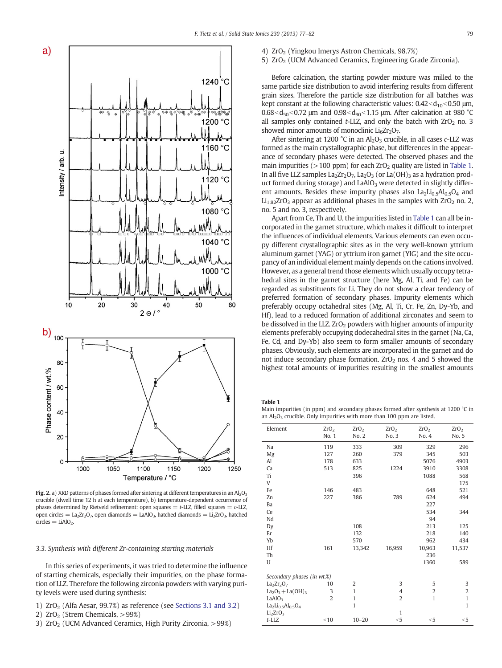<span id="page-2-0"></span>

Fig. 2. a) XRD patterns of phases formed after sintering at different temperatures in an Al<sub>2</sub>O<sub>3</sub> crucible (dwell time 12 h at each temperature), b) temperature-dependent occurrence of phases determined by Rietveld refinement: open squares  $=$  t-LLZ, filled squares  $=$  c-LLZ, open circles =  $La<sub>2</sub>Zr<sub>2</sub>O<sub>7</sub>$ , open diamonds =  $LaAlO<sub>3</sub>$ , hatched diamonds =  $Li<sub>2</sub>ZrO<sub>3</sub>$ , hatched  $circles = LiAlO<sub>2</sub>$ 

# 3.3. Synthesis with different Zr-containing starting materials

In this series of experiments, it was tried to determine the influence of starting chemicals, especially their impurities, on the phase formation of LLZ. Therefore the following zirconia powders with varying purity levels were used during synthesis:

- 1)  $ZrO<sub>2</sub>$  (Alfa Aesar, 99.7%) as reference (see [Sections 3.1 and 3.2](#page-1-0))
- 2)  $ZrO<sub>2</sub>$  (Strem Chemicals,  $>99\%)$
- 3)  $ZrO<sub>2</sub>$  (UCM Advanced Ceramics, High Purity Zirconia,  $>99\%$ )
- 4) ZrO<sub>2</sub> (Yingkou Imerys Astron Chemicals, 98.7%)
- 5) ZrO<sub>2</sub> (UCM Advanced Ceramics, Engineering Grade Zirconia).

Before calcination, the starting powder mixture was milled to the same particle size distribution to avoid interfering results from different grain sizes. Therefore the particle size distribution for all batches was kept constant at the following characteristic values:  $0.42 < d_{10} < 0.50$  μm,  $0.68 < d_{50} < 0.72$  μm and  $0.98 < d_{90} < 1.15$  μm. After calcination at 980 °C all samples only contained  $t$ -LLZ, and only the batch with  $ZrO<sub>2</sub>$  no. 3 showed minor amounts of monoclinic  $Li<sub>6</sub>Zr<sub>2</sub>O<sub>7</sub>$ .

After sintering at 1200 °C in an  $Al_2O_3$  crucible, in all cases c-LLZ was formed as the main crystallographic phase, but differences in the appearance of secondary phases were detected. The observed phases and the main impurities ( $>100$  ppm) for each ZrO<sub>2</sub> quality are listed in Table 1. In all five LLZ samples  $La_2Zr_2O_7$ ,  $La_2O_3$  (or  $La(OH)_3$  as a hydration product formed during storage) and  $LaAlO<sub>3</sub>$  were detected in slightly different amounts. Besides these impurity phases also  $La_2Li_{0.5}Al_{0.5}O_4$  and  $Li<sub>1.82</sub>ZrO<sub>3</sub>$  appear as additional phases in the samples with ZrO<sub>2</sub> no. 2, no. 5 and no. 3, respectively.

Apart from Ce, Th and U, the impurities listed in Table 1 can all be incorporated in the garnet structure, which makes it difficult to interpret the influences of individual elements. Various elements can even occupy different crystallographic sites as in the very well-known yttrium aluminum garnet (YAG) or yttrium iron garnet (YIG) and the site occupancy of an individual element mainly depends on the cations involved. However, as a general trend those elements which usually occupy tetrahedral sites in the garnet structure (here Mg, Al, Ti, and Fe) can be regarded as substituents for Li. They do not show a clear tendency of preferred formation of secondary phases. Impurity elements which preferably occupy octahedral sites (Mg, Al, Ti, Cr, Fe, Zn, Dy-Yb, and Hf), lead to a reduced formation of additional zirconates and seem to be dissolved in the LLZ.  $ZrO<sub>2</sub>$  powders with higher amounts of impurity elements preferably occupying dodecahedral sites in the garnet (Na, Ca, Fe, Cd, and Dy-Yb) also seem to form smaller amounts of secondary phases. Obviously, such elements are incorporated in the garnet and do not induce secondary phase formation.  $ZrO<sub>2</sub>$  nos. 4 and 5 showed the highest total amounts of impurities resulting in the smallest amounts

Table 1

Main impurities (in ppm) and secondary phases formed after synthesis at 1200 °C in an  $Al_2O_3$  crucible. Only impurities with more than 100 ppm are listed.

| Element                          | ZrO <sub>2</sub> | ZrO <sub>2</sub> | ZrO <sub>2</sub> | ZrO <sub>2</sub> | ZrO <sub>2</sub> |  |
|----------------------------------|------------------|------------------|------------------|------------------|------------------|--|
|                                  | No. 1            | No. 2            | No. 3            | No. 4            | No. 5            |  |
| Na                               | 119              | 333              | 309              | 329              | 296              |  |
| Mg                               | 127              | 260              | 379              | 345              | 503              |  |
| Al                               | 178              | 633              |                  | 5076             | 4903             |  |
| Ca                               | 513              | 825              | 1224             | 3910             | 3308             |  |
| Ti                               |                  | 396              |                  | 1088             | 568              |  |
| V                                |                  |                  |                  |                  | 175              |  |
| Fe                               | 146              | 483              |                  | 648              | 521              |  |
| Zn                               | 227              | 386              | 789              | 624              | 494              |  |
| Ba                               |                  |                  |                  | 227              |                  |  |
| Ce                               |                  |                  |                  | 534              | 344              |  |
| Nd                               |                  |                  |                  | 94               |                  |  |
| Dy                               |                  | 108              |                  | 213              | 125              |  |
| Er                               |                  | 132              |                  | 218              | 140              |  |
| Yb                               |                  | 570              |                  | 962              | 434              |  |
| Hf                               | 161              | 13,342           | 16,959           | 10,963           | 11,537           |  |
| Th                               |                  |                  |                  | 236              |                  |  |
| U                                |                  |                  |                  | 1360             | 589              |  |
| Secondary phases (in wt.%)       |                  |                  |                  |                  |                  |  |
| $La2Zr2O7$                       | 10               | 2                | 3                | 5                | 3                |  |
| $La2O3 + La(OH)3$                | 3                | $\mathbf{1}$     | 4                | $\overline{2}$   | $\overline{c}$   |  |
| LaA $103$                        | $\overline{2}$   | $\mathbf{1}$     | $\overline{2}$   | $\mathbf{1}$     | $\mathbf{1}$     |  |
| $La_2Li_{0.5}Al_{0.5}O_4$        |                  | $\mathbf{1}$     |                  |                  | $\mathbf{1}$     |  |
| Li <sub>2</sub> ZrO <sub>3</sub> |                  |                  | $\mathbf{1}$     |                  |                  |  |
| $t$ -LLZ                         | < 10             | $10 - 20$        | $<$ 5            | $<$ 5            | $<$ 5            |  |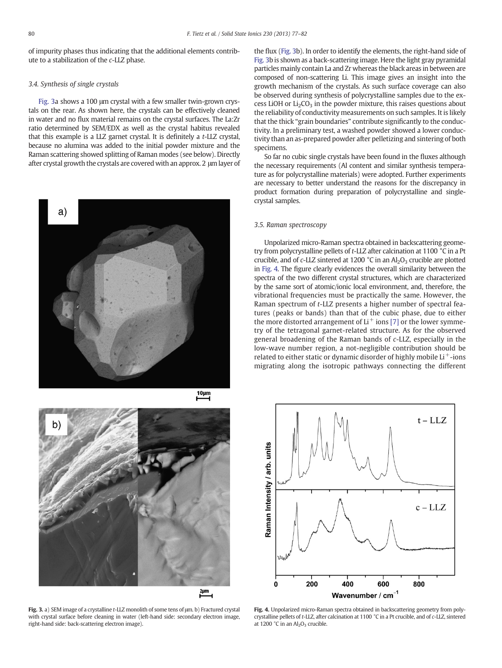<span id="page-3-0"></span>of impurity phases thus indicating that the additional elements contribute to a stabilization of the c-LLZ phase.

## 3.4. Synthesis of single crystals

Fig. 3a shows a 100 μm crystal with a few smaller twin-grown crystals on the rear. As shown here, the crystals can be effectively cleaned in water and no flux material remains on the crystal surfaces. The La:Zr ratio determined by SEM/EDX as well as the crystal habitus revealed that this example is a LLZ garnet crystal. It is definitely a t-LLZ crystal, because no alumina was added to the initial powder mixture and the Raman scattering showed splitting of Raman modes (see below). Directly after crystal growth the crystals are covered with an approx. 2 μm layer of



 $10 \mu m$ 



Fig. 3. a) SEM image of a crystalline t-LLZ monolith of some tens of μm. b) Fractured crystal with crystal surface before cleaning in water (left-hand side: secondary electron image, right-hand side: back-scattering electron image).

the flux (Fig. 3b). In order to identify the elements, the right-hand side of Fig. 3b is shown as a back-scattering image. Here the light gray pyramidal particles mainly contain La and Zr whereas the black areas in between are composed of non-scattering Li. This image gives an insight into the growth mechanism of the crystals. As such surface coverage can also be observed during synthesis of polycrystalline samples due to the excess LiOH or  $Li<sub>2</sub>CO<sub>3</sub>$  in the powder mixture, this raises questions about the reliability of conductivity measurements on such samples. It is likely that the thick "grain boundaries" contribute significantly to the conductivity. In a preliminary test, a washed powder showed a lower conductivity than an as-prepared powder after pelletizing and sintering of both specimens.

So far no cubic single crystals have been found in the fluxes although the necessary requirements (Al content and similar synthesis temperature as for polycrystalline materials) were adopted. Further experiments are necessary to better understand the reasons for the discrepancy in product formation during preparation of polycrystalline and singlecrystal samples.

#### 3.5. Raman spectroscopy

Unpolarized micro-Raman spectra obtained in backscattering geometry from polycrystalline pellets of t-LLZ after calcination at 1100 °C in a Pt crucible, and of  $c$ -LLZ sintered at 1200 °C in an  $Al_2O_3$  crucible are plotted in Fig. 4. The figure clearly evidences the overall similarity between the spectra of the two different crystal structures, which are characterized by the same sort of atomic/ionic local environment, and, therefore, the vibrational frequencies must be practically the same. However, the Raman spectrum of t-LLZ presents a higher number of spectral features (peaks or bands) than that of the cubic phase, due to either the more distorted arrangement of  $Li<sup>+</sup>$  ions [\[7\]](#page-5-0) or the lower symmetry of the tetragonal garnet-related structure. As for the observed general broadening of the Raman bands of c-LLZ, especially in the low-wave number region, a not-negligible contribution should be related to either static or dynamic disorder of highly mobile Li $^+$ -ions migrating along the isotropic pathways connecting the different



Fig. 4. Unpolarized micro-Raman spectra obtained in backscattering geometry from polycrystalline pellets of t-LLZ, after calcination at 1100 °C in a Pt crucible, and of c-LLZ, sintered at  $1200 °C$  in an  $Al<sub>2</sub>O<sub>3</sub>$  crucible.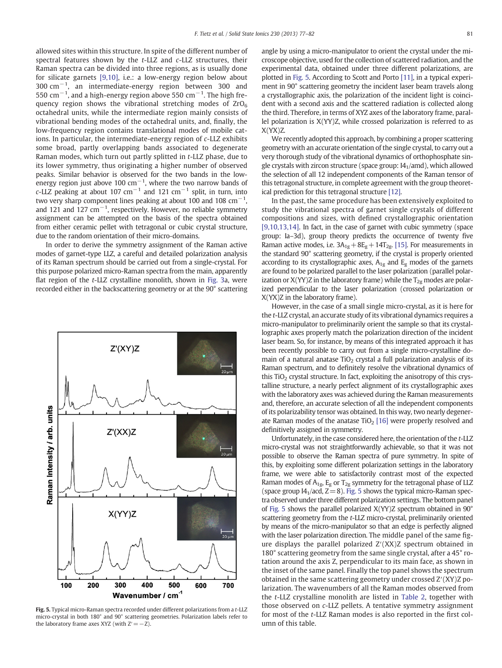allowed sites within this structure. In spite of the different number of spectral features shown by the t-LLZ and c-LLZ structures, their Raman spectra can be divided into three regions, as is usually done for silicate garnets [\[9,10\]](#page-5-0), i.e.: a low-energy region below about 300 cm−<sup>1</sup> , an intermediate-energy region between 300 and 550 cm $^{-1}$ , and a high-energy region above 550 cm $^{-1}$ . The high frequency region shows the vibrational stretching modes of  $ZrO<sub>6</sub>$ octahedral units, while the intermediate region mainly consists of vibrational bending modes of the octahedral units, and, finally, the low-frequency region contains translational modes of mobile cations. In particular, the intermediate-energy region of c-LLZ exhibits some broad, partly overlapping bands associated to degenerate Raman modes, which turn out partly splitted in t-LLZ phase, due to its lower symmetry, thus originating a higher number of observed peaks. Similar behavior is observed for the two bands in the lowenergy region just above 100  $\rm cm^{-1}$ , where the two narrow bands of c-LLZ peaking at about 107 cm<sup>-1</sup> and 121 cm<sup>-1</sup> split, in turn, into two very sharp component lines peaking at about 100 and 108  $\text{cm}^{-1}$ , and 121 and 127 cm−<sup>1</sup> , respectively. However, no reliable symmetry assignment can be attempted on the basis of the spectra obtained from either ceramic pellet with tetragonal or cubic crystal structure, due to the random orientation of their micro-domains.

In order to derive the symmetry assignment of the Raman active modes of garnet-type LLZ, a careful and detailed polarization analysis of its Raman spectrum should be carried out from a single-crystal. For this purpose polarized micro-Raman spectra from the main, apparently flat region of the t-LLZ crystalline monolith, shown in [Fig. 3](#page-3-0)a, were recorded either in the backscattering geometry or at the 90° scattering



Fig. 5. Typical micro-Raman spectra recorded under different polarizations from a t-LLZ micro-crystal in both 180° and 90° scattering geometries. Polarization labels refer to the laboratory frame axes XYZ (with  $Z'=-Z$ ).

angle by using a micro-manipulator to orient the crystal under the microscope objective, used for the collection of scattered radiation, and the experimental data, obtained under three different polarizations, are plotted in Fig. 5. According to Scott and Porto [\[11\]](#page-5-0), in a typical experiment in 90° scattering geometry the incident laser beam travels along a crystallographic axis, the polarization of the incident light is coincident with a second axis and the scattered radiation is collected along the third. Therefore, in terms of XYZ axes of the laboratory frame, parallel polarization is X(YY)Z, while crossed polarization is referred to as X(YX)Z.

We recently adopted this approach, by combining a proper scattering geometry with an accurate orientation of the single crystal, to carry out a very thorough study of the vibrational dynamics of orthophosphate single crystals with zircon structure (space group:  $14<sub>1</sub>/amd$ ), which allowed the selection of all 12 independent components of the Raman tensor of this tetragonal structure, in complete agreement with the group theoretical prediction for this tetragonal structure [\[12\]](#page-5-0).

In the past, the same procedure has been extensively exploited to study the vibrational spectra of garnet single crystals of different compositions and sizes, with defined crystallographic orientation [\[9,10,13,14\].](#page-5-0) In fact, in the case of garnet with cubic symmetry (space group: Ia–3d), group theory predicts the occurrence of twenty five Raman active modes, i.e.  $3A_{1g}+8E_{g}+14T_{2g}$ . [\[15\].](#page-5-0) For measurements in the standard 90° scattering geometry, if the crystal is properly oriented according to its crystallographic axes,  $A_{1g}$  and  $E_g$  modes of the garnets are found to be polarized parallel to the laser polarization (parallel polarization or  $X(YY)Z$  in the laboratory frame) while the  $T_{2g}$  modes are polarized perpendicular to the laser polarization (crossed polarization or X(YX)Z in the laboratory frame).

However, in the case of a small single micro-crystal, as it is here for the t-LLZ crystal, an accurate study of its vibrational dynamics requires a micro-manipulator to preliminarily orient the sample so that its crystallographic axes properly match the polarization direction of the incident laser beam. So, for instance, by means of this integrated approach it has been recently possible to carry out from a single micro-crystalline domain of a natural anatase  $TiO<sub>2</sub>$  crystal a full polarization analysis of its Raman spectrum, and to definitely resolve the vibrational dynamics of this  $TiO<sub>2</sub>$  crystal structure. In fact, exploiting the anisotropy of this crystalline structure, a nearly perfect alignment of its crystallographic axes with the laboratory axes was achieved during the Raman measurements and, therefore, an accurate selection of all the independent components of its polarizability tensor was obtained. In this way, two nearly degenerate Raman modes of the anatase  $TiO<sub>2</sub>$  [\[16\]](#page-5-0) were properly resolved and definitively assigned in symmetry.

Unfortunately, in the case considered here, the orientation of the t-LLZ micro-crystal was not straightforwardly achievable, so that it was not possible to observe the Raman spectra of pure symmetry. In spite of this, by exploiting some different polarization settings in the laboratory frame, we were able to satisfactorily contrast most of the expected Raman modes of  $A_{1g}$ , E<sub>g</sub> or T<sub>2g</sub> symmetry for the tetragonal phase of LLZ (space group  $I4_1/a$ cd,  $Z=8$ ). Fig. 5 shows the typical micro-Raman spectra observed under three different polarization settings. The bottom panel of Fig. 5 shows the parallel polarized X(YY)Z spectrum obtained in 90° scattering geometry from the t-LLZ micro-crystal, preliminarily oriented by means of the micro-manipulator so that an edge is perfectly aligned with the laser polarization direction. The middle panel of the same figure displays the parallel polarized Z′(XX)Z spectrum obtained in 180° scattering geometry from the same single crystal, after a 45° rotation around the axis Z, perpendicular to its main face, as shown in the inset of the same panel. Finally the top panel shows the spectrum obtained in the same scattering geometry under crossed Z′(XY)Z polarization. The wavenumbers of all the Raman modes observed from the t-LLZ crystalline monolith are listed in [Table 2](#page-5-0), together with those observed on c-LLZ pellets. A tentative symmetry assignment for most of the t-LLZ Raman modes is also reported in the first column of this table.